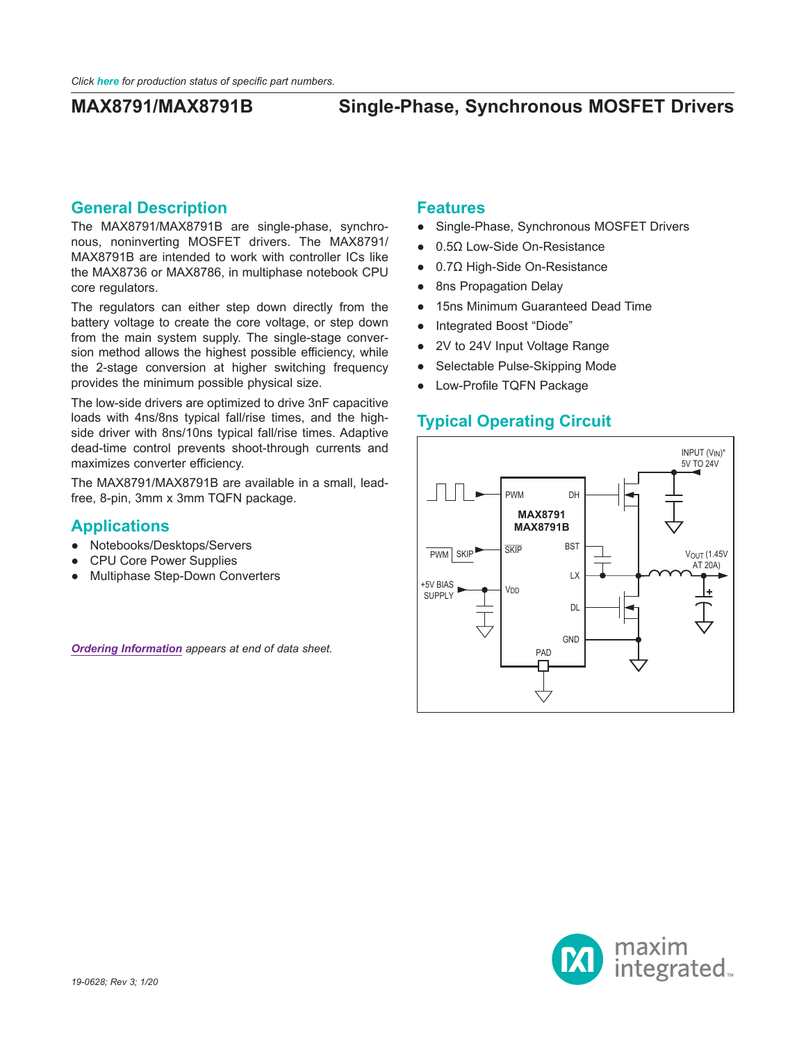### **General Description**

The MAX8791/MAX8791B are single-phase, synchronous, noninverting MOSFET drivers. The MAX8791/ MAX8791B are intended to work with controller ICs like the MAX8736 or MAX8786, in multiphase notebook CPU core regulators.

The regulators can either step down directly from the battery voltage to create the core voltage, or step down from the main system supply. The single-stage conversion method allows the highest possible efficiency, while the 2-stage conversion at higher switching frequency provides the minimum possible physical size.

The low-side drivers are optimized to drive 3nF capacitive loads with 4ns/8ns typical fall/rise times, and the highside driver with 8ns/10ns typical fall/rise times. Adaptive dead-time control prevents shoot-through currents and maximizes converter efficiency.

The MAX8791/MAX8791B are available in a small, leadfree, 8-pin, 3mm x 3mm TQFN package.

## **Applications**

- Notebooks/Desktops/Servers
- **CPU Core Power Supplies**
- **Multiphase Step-Down Converters**

*[Ordering Information](#page-11-0) appears at end of data sheet.*

### **Features**

- Single-Phase, Synchronous MOSFET Drivers
- 0.5Ω Low-Side On-Resistance
- 0.7Ω High-Side On-Resistance
- 8ns Propagation Delay
- 15ns Minimum Guaranteed Dead Time
- Integrated Boost "Diode"
- 2V to 24V Input Voltage Range
- Selectable Pulse-Skipping Mode
- Low-Profile TQFN Package

## **Typical Operating Circuit**



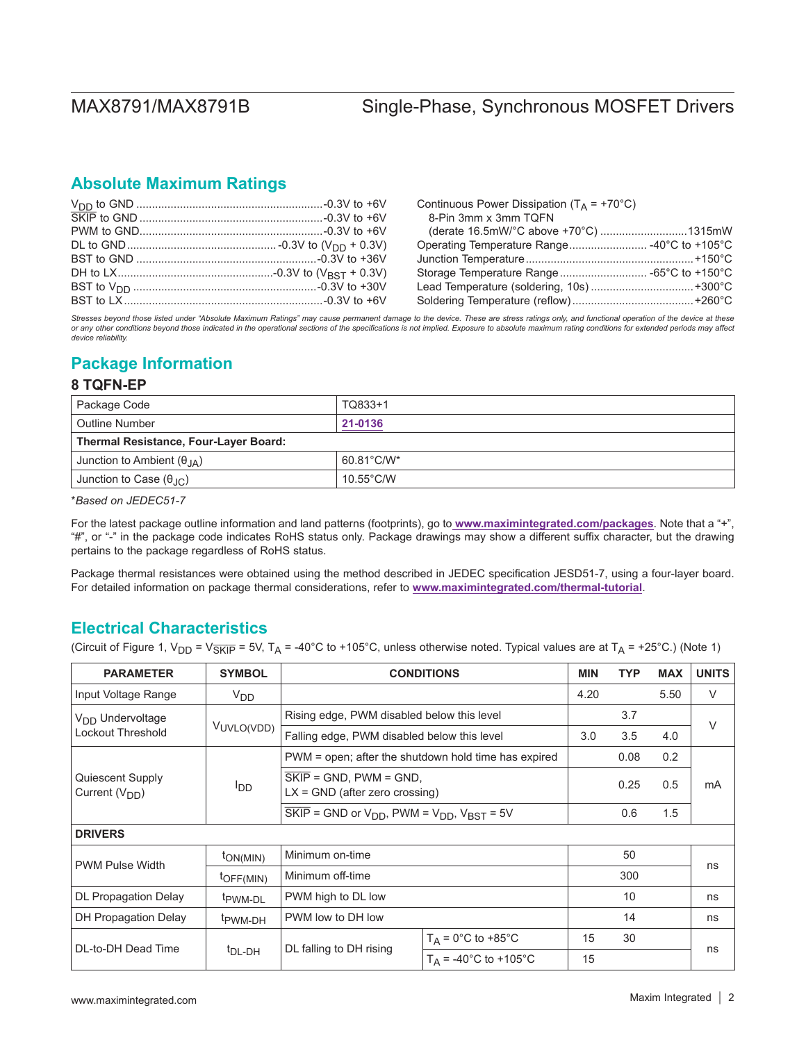## **Absolute Maximum Ratings**

Continuous Power Dissipation ( $T_A$  = +70°C) 8-Pin 3mm x 3mm TQFN (derate 16.5mW/°C above +70°C) ............................1315mW Operating Temperature Range......................... -40°C to +105°C Junction Temperature......................................................+150°C Storage Temperature Range............................ -65°C to +150°C Lead Temperature (soldering, 10s) .................................+300°C Soldering Temperature (reflow).......................................+260°C

Stresses beyond those listed under "Absolute Maximum Ratings" may cause permanent damage to the device. These are stress ratings only, and functional operation of the device at these *or any other conditions beyond those indicated in the operational sections of the specifications is not implied. Exposure to absolute maximum rating conditions for extended periods may affect device reliability.*

## **Package Information**

### **8 TQFN-EP**

| Package Code                                                | TQ833+1             |  |  |
|-------------------------------------------------------------|---------------------|--|--|
| <b>Outline Number</b>                                       | 21-0136             |  |  |
| <b>Thermal Resistance, Four-Layer Board:</b>                |                     |  |  |
| $60.81^{\circ}$ C/W*<br>Junction to Ambient $(\theta_{JA})$ |                     |  |  |
| Junction to Case (θ $_{\rm JC}$ )                           | $10.55^{\circ}$ C/W |  |  |

\**Based on JEDEC51-7* 

For the latest package outline information and land patterns (footprints), go to **[www.maximintegrated.com/packages](http://www.maximintegrated.com/packages)**. Note that a "+", "#", or "-" in the package code indicates RoHS status only. Package drawings may show a different suffix character, but the drawing pertains to the package regardless of RoHS status.

Package thermal resistances were obtained using the method described in JEDEC specification JESD51-7, using a four-layer board. For detailed information on package thermal considerations, refer to **[www.maximintegrated.com/thermal-tutorial](http://www.maximintegrated.com/thermal-tutorial)**.

## **Electrical Characteristics**

(Circuit of Figure 1, V<sub>DD</sub> = V<sub>SKIP</sub> = 5V, T<sub>A</sub> = -40°C to +105°C, unless otherwise noted. Typical values are at T<sub>A</sub> = +25°C.) (Note 1)

| <b>PARAMETER</b>                              | <b>SYMBOL</b>       | <b>CONDITIONS</b>                                                                                 |                                         | <b>MIN</b> | <b>TYP</b> | <b>MAX</b> | <b>UNITS</b> |  |
|-----------------------------------------------|---------------------|---------------------------------------------------------------------------------------------------|-----------------------------------------|------------|------------|------------|--------------|--|
| Input Voltage Range                           | V <sub>DD</sub>     |                                                                                                   |                                         | 4.20       |            | 5.50       | V            |  |
| V <sub>DD</sub> Undervoltage                  |                     | Rising edge, PWM disabled below this level                                                        |                                         |            | 3.7        |            | $\vee$       |  |
| Lockout Threshold                             | VUVLO(VDD)          | Falling edge, PWM disabled below this level                                                       |                                         | 3.0        | 3.5        | 4.0        |              |  |
|                                               |                     | PWM = open; after the shutdown hold time has expired                                              |                                         |            | 0.08       | 0.2        |              |  |
| Quiescent Supply<br>סםי<br>Current $(V_{DD})$ |                     | $SKIP = GND$ , $PWM = GND$ ,<br>$LX = GND$ (after zero crossing)                                  |                                         |            | 0.25       | 0.5        | mA           |  |
|                                               |                     | $\overline{\text{SKIP}}$ = GND or V <sub>DD</sub> , PWM = V <sub>DD</sub> , V <sub>BST</sub> = 5V |                                         |            | 0.6        | 1.5        |              |  |
| <b>DRIVERS</b>                                |                     |                                                                                                   |                                         |            |            |            |              |  |
| <b>PWM Pulse Width</b>                        | $tON(MIN)$          | Minimum on-time                                                                                   |                                         |            | 50         |            |              |  |
|                                               | $tOFF(MIN)$         | Minimum off-time                                                                                  |                                         |            | 300        |            | ns           |  |
| DL Propagation Delay                          | t <sub>PWM-DL</sub> | PWM high to DL low                                                                                |                                         |            | 10         |            | ns           |  |
| DH Propagation Delay                          | <sup>t</sup> PWM-DH | PWM low to DH low                                                                                 |                                         |            | 14         |            | ns           |  |
| DL-to-DH Dead Time                            | <sup>t</sup> DL-DH  | DL falling to DH rising                                                                           | $T_A = 0^\circ \text{C}$ to +85°C       | 15         | 30         |            |              |  |
|                                               |                     |                                                                                                   | $T_A = -40^{\circ}C$ to $+105^{\circ}C$ | 15         |            |            | ns           |  |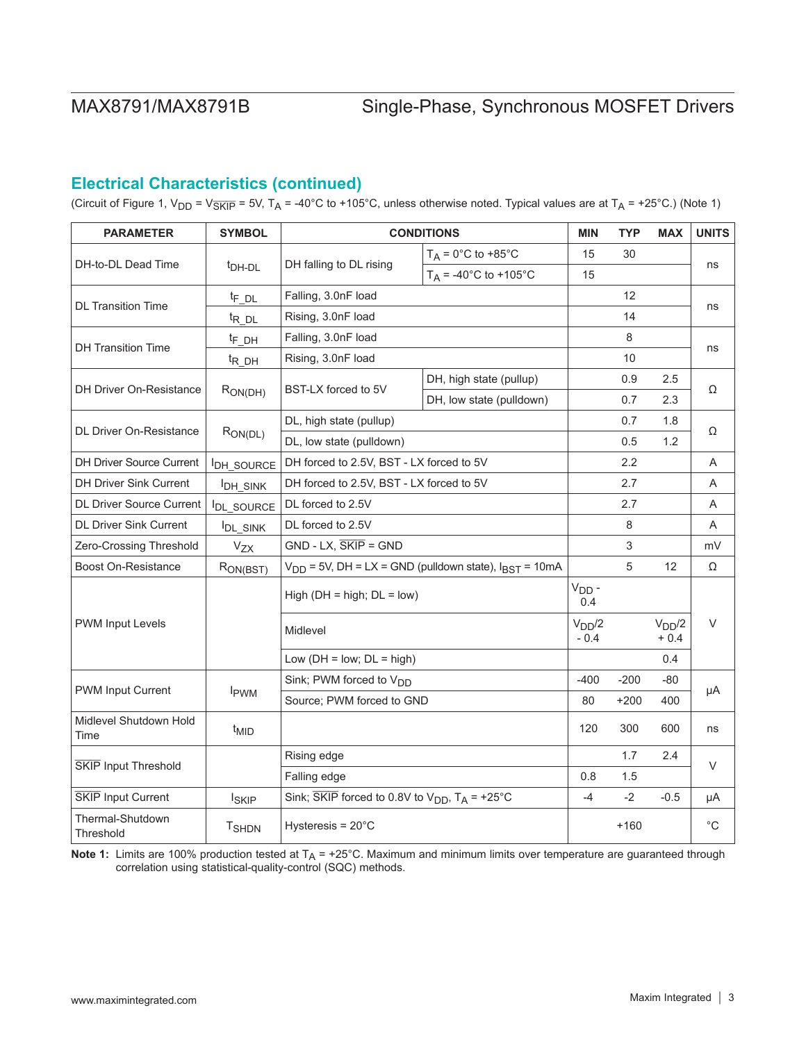# **Electrical Characteristics (continued)**

(Circuit of Figure 1, V<sub>DD</sub> = V<sub>SKIP</sub> = 5V, T<sub>A</sub> = -40°C to +105°C, unless otherwise noted. Typical values are at T<sub>A</sub> = +25°C.) (Note 1)

| <b>PARAMETER</b>                | <b>SYMBOL</b>        | <b>CONDITIONS</b>                                                                |                                                   | <b>MIN</b>                   | <b>TYP</b> | <b>MAX</b>                   | <b>UNITS</b> |
|---------------------------------|----------------------|----------------------------------------------------------------------------------|---------------------------------------------------|------------------------------|------------|------------------------------|--------------|
| DH-to-DL Dead Time              | <sup>t</sup> DH-DL   | DH falling to DL rising                                                          | $T_A = 0^\circ \text{C}$ to +85 $^\circ \text{C}$ | 15                           | 30         |                              | ns           |
|                                 |                      |                                                                                  | $T_A = -40^{\circ}C$ to $+105^{\circ}C$           | 15                           |            |                              |              |
|                                 | <sup>t</sup> F DL    | Falling, 3.0nF load                                                              |                                                   |                              | 12         |                              |              |
| <b>DL Transition Time</b>       | <sup>t</sup> R DL    | Rising, 3.0nF load                                                               |                                                   |                              | 14         |                              | ns           |
| <b>DH Transition Time</b>       | <sup>t</sup> F DH    | Falling, 3.0nF load                                                              |                                                   |                              | 8          |                              |              |
|                                 | <sup>t</sup> R DH    | Rising, 3.0nF load                                                               |                                                   |                              | 10         |                              | ns           |
| <b>DH Driver On-Resistance</b>  |                      |                                                                                  | DH, high state (pullup)                           |                              | 0.9        | 2.5                          | Ω            |
|                                 | $R_{ON(DH)}$         | BST-LX forced to 5V                                                              | DH, low state (pulldown)                          |                              | 0.7        | 2.3                          |              |
| <b>DL Driver On-Resistance</b>  |                      | DL, high state (pullup)                                                          |                                                   |                              | 0.7        | 1.8                          |              |
|                                 | $R_{ON(DL)}$         | DL, low state (pulldown)                                                         |                                                   |                              | 0.5        | 1.2                          | Ω            |
| <b>DH Driver Source Current</b> | <b>IDH SOURCE</b>    | DH forced to 2.5V, BST - LX forced to 5V                                         |                                                   |                              | 2.2        |                              | A            |
| <b>DH Driver Sink Current</b>   | <b>IDH_SINK</b>      | DH forced to 2.5V, BST - LX forced to 5V                                         |                                                   |                              | 2.7        |                              | A            |
| <b>DL Driver Source Current</b> | <b>IDL SOURCE</b>    | DL forced to 2.5V                                                                |                                                   |                              | 2.7        |                              | Α            |
| <b>DL Driver Sink Current</b>   | <b>DL_SINK</b>       | DL forced to 2.5V                                                                |                                                   |                              | 8          |                              | A            |
| Zero-Crossing Threshold         | $V_{ZX}$             | $GND - LX, \overline{SKIP} = GND$                                                |                                                   |                              | 3          |                              | mV           |
| <b>Boost On-Resistance</b>      | R <sub>ON(BST)</sub> | $V_{DD}$ = 5V, DH = LX = GND (pulldown state), $I_{BST}$ = 10mA                  |                                                   |                              | 5          | 12                           | Ω            |
|                                 |                      | High ( $DH = high$ ; $DL = low$ )                                                |                                                   | $V_{DD}$ -<br>0.4            |            |                              |              |
| <b>PWM Input Levels</b>         |                      | Midlevel                                                                         |                                                   | V <sub>DD</sub> /2<br>$-0.4$ |            | V <sub>DD</sub> /2<br>$+0.4$ | V            |
|                                 |                      | Low $(DH = low; DL = high)$                                                      |                                                   |                              |            | 0.4                          |              |
|                                 |                      | Sink; PWM forced to V <sub>DD</sub>                                              |                                                   | $-400$                       | $-200$     | -80                          |              |
| <b>PWM Input Current</b>        | I <sub>PWM</sub>     | Source; PWM forced to GND                                                        |                                                   | 80                           | $+200$     | 400                          | μA           |
| Midlevel Shutdown Hold<br>Time  | <sup>t</sup> MID     |                                                                                  |                                                   | 120                          | 300        | 600                          | ns           |
| SKIP Input Threshold            |                      | Rising edge                                                                      |                                                   |                              | 1.7        | 2.4                          | V            |
|                                 |                      | Falling edge                                                                     |                                                   | 0.8                          | 1.5        |                              |              |
| SKIP Input Current              | <b>ISKIP</b>         | Sink; $\overline{\text{SKIP}}$ forced to 0.8V to $V_{DD}$ , $T_A = +25^{\circ}C$ |                                                   | $-4$                         | $-2$       | $-0.5$                       | μA           |
| Thermal-Shutdown<br>Threshold   | <b>T</b> SHDN        | Hysteresis = $20^{\circ}$ C                                                      |                                                   |                              | $+160$     |                              | $^{\circ}C$  |

**Note 1:** Limits are 100% production tested at T<sub>A</sub> = +25°C. Maximum and minimum limits over temperature are guaranteed through correlation using statistical-quality-control (SQC) methods.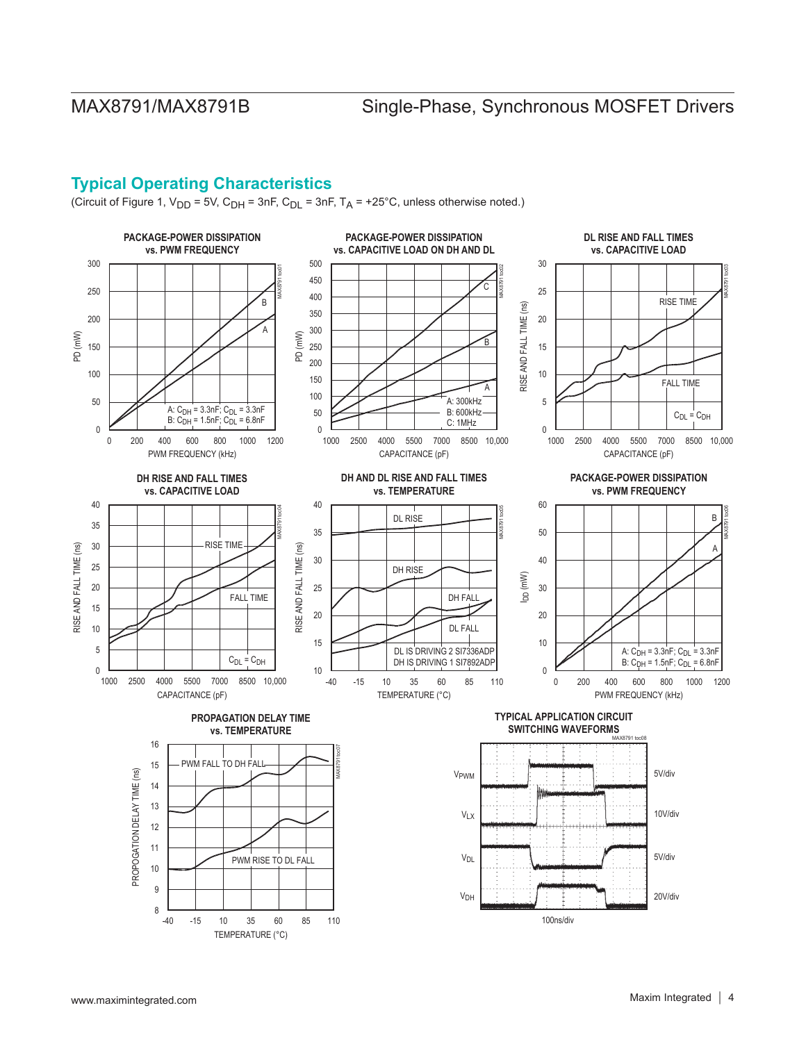# **Typical Operating Characteristics**

(Circuit of Figure 1,  $V_{DD}$  = 5V,  $C_{DH}$  = 3nF,  $C_{DL}$  = 3nF,  $T_A$  = +25°C, unless otherwise noted.)

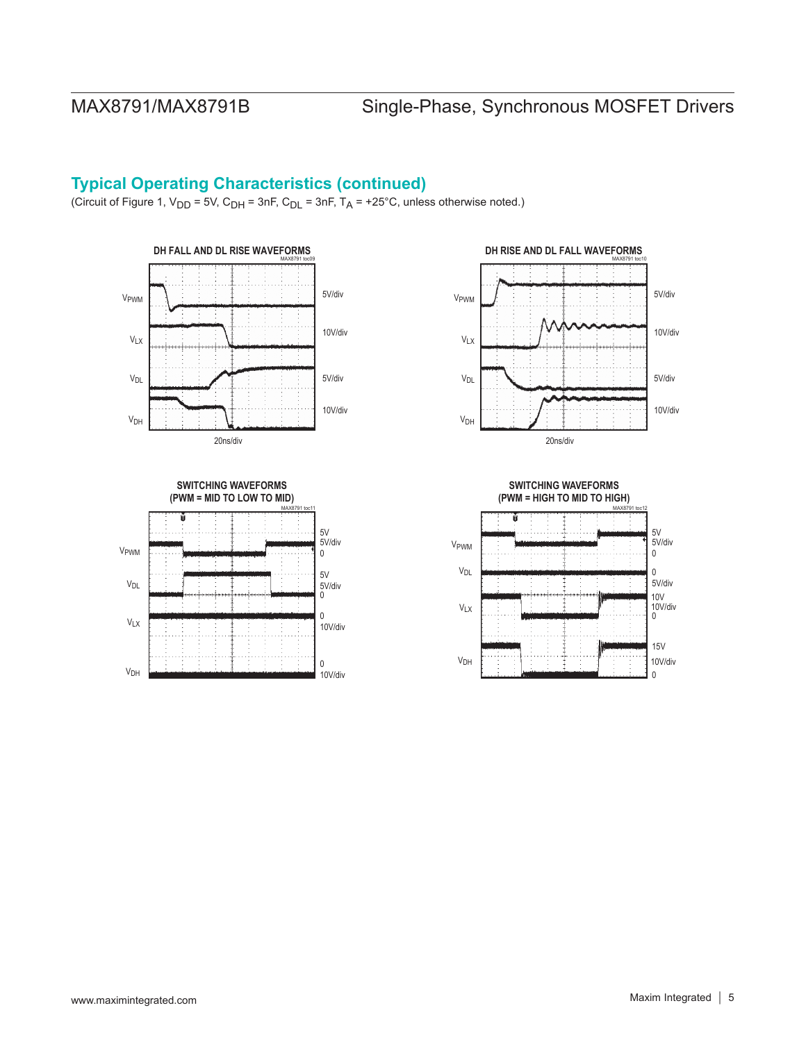# **Typical Operating Characteristics (continued)**

(Circuit of Figure 1,  $V_{DD}$  = 5V, C<sub>DH</sub> = 3nF, C<sub>DL</sub> = 3nF, T<sub>A</sub> = +25°C, unless otherwise noted.)













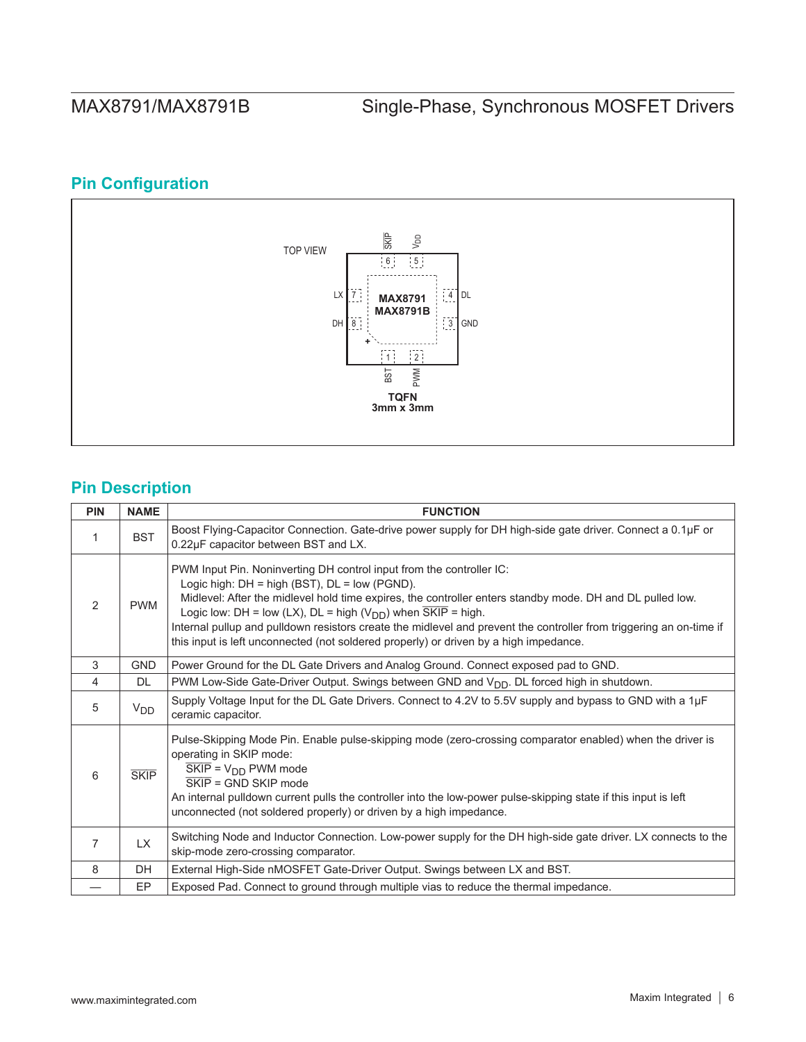# **Pin Configuration**



# **Pin Description**

| <b>PIN</b>    | <b>NAME</b> | <b>FUNCTION</b>                                                                                                                                                                                                                                                                                                                                                                                                                                                                                                                             |
|---------------|-------------|---------------------------------------------------------------------------------------------------------------------------------------------------------------------------------------------------------------------------------------------------------------------------------------------------------------------------------------------------------------------------------------------------------------------------------------------------------------------------------------------------------------------------------------------|
| 1             | <b>BST</b>  | Boost Flying-Capacitor Connection. Gate-drive power supply for DH high-side gate driver. Connect a 0.1µF or<br>0.22µF capacitor between BST and LX.                                                                                                                                                                                                                                                                                                                                                                                         |
| $\mathcal{P}$ | <b>PWM</b>  | PWM Input Pin. Noninverting DH control input from the controller IC:<br>Logic high: $DH = high (BST)$ , $DL = low (PGND)$ .<br>Midlevel: After the midlevel hold time expires, the controller enters standby mode. DH and DL pulled low.<br>Logic low: DH = low (LX), DL = high ( $V_{DD}$ ) when $\overline{SKIP}$ = high.<br>Internal pullup and pulldown resistors create the midlevel and prevent the controller from triggering an on-time if<br>this input is left unconnected (not soldered properly) or driven by a high impedance. |
| 3             | <b>GND</b>  | Power Ground for the DL Gate Drivers and Analog Ground. Connect exposed pad to GND.                                                                                                                                                                                                                                                                                                                                                                                                                                                         |
| 4             | <b>DL</b>   | PWM Low-Side Gate-Driver Output. Swings between GND and V <sub>DD</sub> . DL forced high in shutdown.                                                                                                                                                                                                                                                                                                                                                                                                                                       |
| 5             | $V_{DD}$    | Supply Voltage Input for the DL Gate Drivers. Connect to 4.2V to 5.5V supply and bypass to GND with a 1µF<br>ceramic capacitor.                                                                                                                                                                                                                                                                                                                                                                                                             |
| 6             | <b>SKIP</b> | Pulse-Skipping Mode Pin. Enable pulse-skipping mode (zero-crossing comparator enabled) when the driver is<br>operating in SKIP mode:<br>$SKIP = VDD$ PWM mode<br>$\overline{\mathsf{SKIP}}$ = GND SKIP mode<br>An internal pulldown current pulls the controller into the low-power pulse-skipping state if this input is left<br>unconnected (not soldered properly) or driven by a high impedance.                                                                                                                                        |
| 7             | LX.         | Switching Node and Inductor Connection. Low-power supply for the DH high-side gate driver. LX connects to the<br>skip-mode zero-crossing comparator.                                                                                                                                                                                                                                                                                                                                                                                        |
| 8             | <b>DH</b>   | External High-Side nMOSFET Gate-Driver Output. Swings between LX and BST.                                                                                                                                                                                                                                                                                                                                                                                                                                                                   |
|               | EP          | Exposed Pad. Connect to ground through multiple vias to reduce the thermal impedance.                                                                                                                                                                                                                                                                                                                                                                                                                                                       |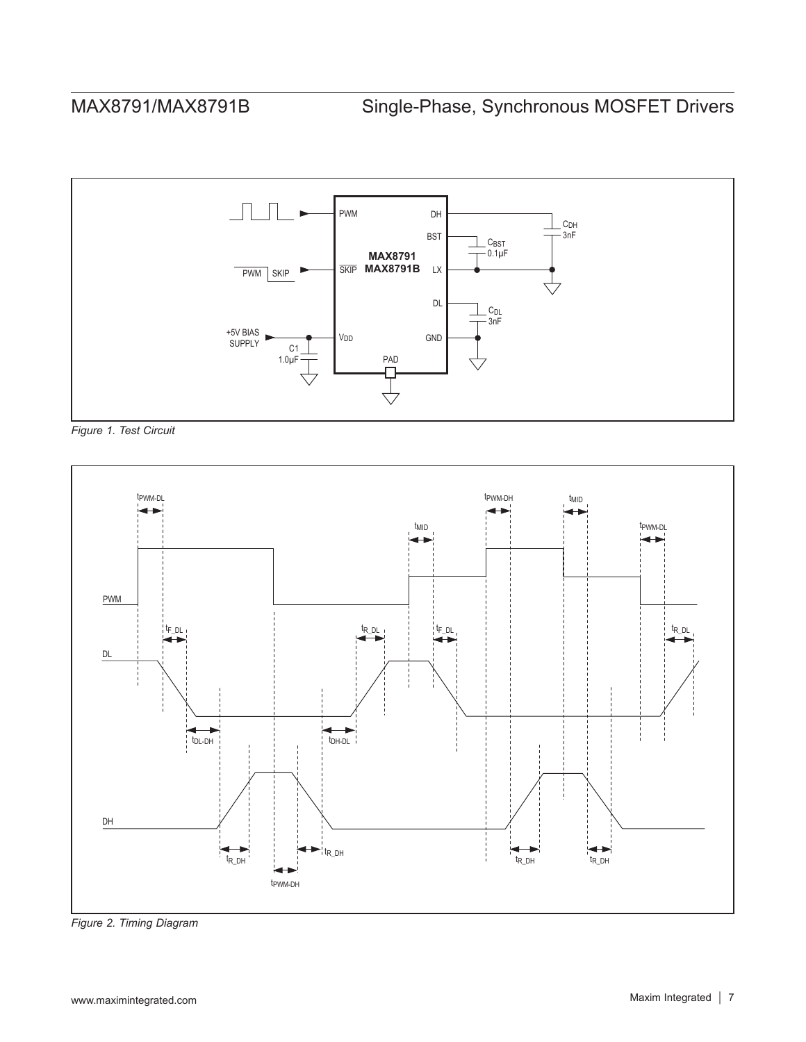

*Figure 1. Test Circuit*



*Figure 2. Timing Diagram*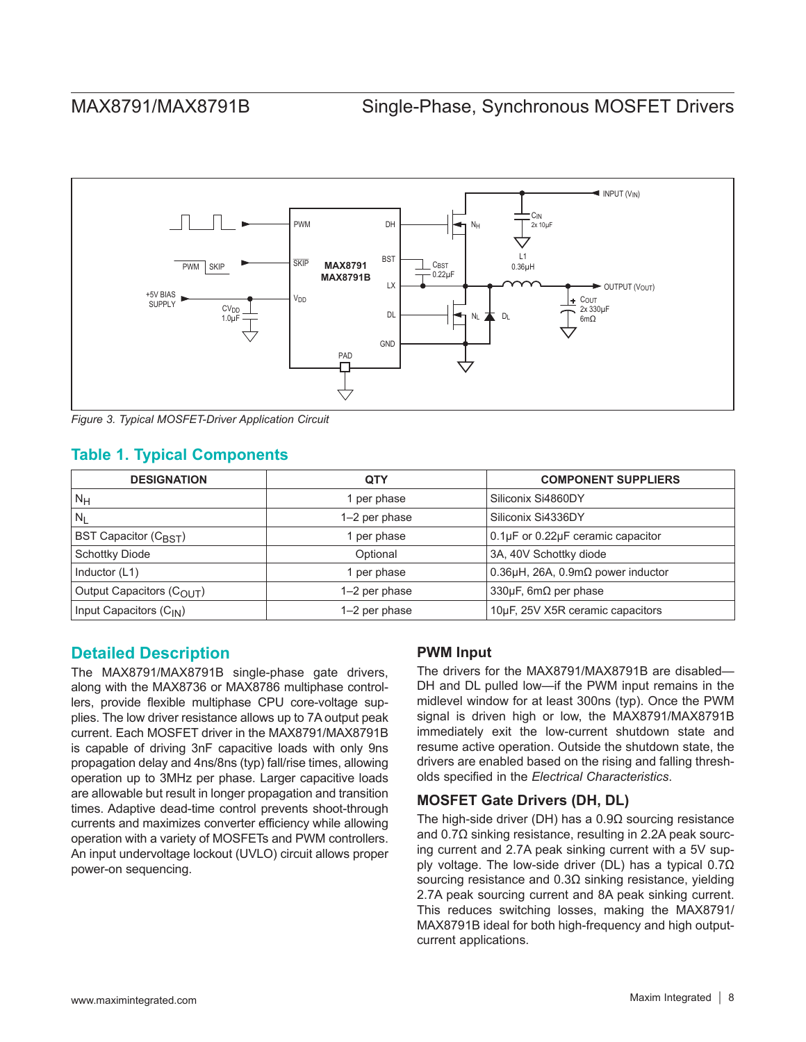

*Figure 3. Typical MOSFET-Driver Application Circuit*

### **Table 1. Typical Components**

| <b>DESIGNATION</b>                  | <b>QTY</b>    | <b>COMPONENT SUPPLIERS</b>                    |
|-------------------------------------|---------------|-----------------------------------------------|
| $ N_H$                              | 1 per phase   | Siliconix Si4860DY                            |
| $N_L$                               | 1-2 per phase | Siliconix Si4336DY                            |
| <b>BST Capacitor (CBST)</b>         | 1 per phase   | 0.1µF or 0.22µF ceramic capacitor             |
| <b>Schottky Diode</b>               | Optional      | 3A, 40V Schottky diode                        |
| Inductor (L1)                       | 1 per phase   | $0.36\mu$ H, 26A, $0.9m\Omega$ power inductor |
| Output Capacitors (COUT)            | 1-2 per phase | 330 $\mu$ F, 6m $\Omega$ per phase            |
| Input Capacitors (C <sub>IN</sub> ) | 1-2 per phase | 10µF, 25V X5R ceramic capacitors              |

### **Detailed Description**

The MAX8791/MAX8791B single-phase gate drivers, along with the MAX8736 or MAX8786 multiphase controllers, provide flexible multiphase CPU core-voltage supplies. The low driver resistance allows up to 7A output peak current. Each MOSFET driver in the MAX8791/MAX8791B is capable of driving 3nF capacitive loads with only 9ns propagation delay and 4ns/8ns (typ) fall/rise times, allowing operation up to 3MHz per phase. Larger capacitive loads are allowable but result in longer propagation and transition times. Adaptive dead-time control prevents shoot-through currents and maximizes converter efficiency while allowing operation with a variety of MOSFETs and PWM controllers. An input undervoltage lockout (UVLO) circuit allows proper power-on sequencing.

### **PWM Input**

The drivers for the MAX8791/MAX8791B are disabled— DH and DL pulled low—if the PWM input remains in the midlevel window for at least 300ns (typ). Once the PWM signal is driven high or low, the MAX8791/MAX8791B immediately exit the low-current shutdown state and resume active operation. Outside the shutdown state, the drivers are enabled based on the rising and falling thresholds specified in the *Electrical Characteristics*.

### **MOSFET Gate Drivers (DH, DL)**

The high-side driver (DH) has a 0.9Ω sourcing resistance and 0.7Ω sinking resistance, resulting in 2.2A peak sourcing current and 2.7A peak sinking current with a 5V supply voltage. The low-side driver (DL) has a typical 0.7Ω sourcing resistance and 0.3Ω sinking resistance, yielding 2.7A peak sourcing current and 8A peak sinking current. This reduces switching losses, making the MAX8791/ MAX8791B ideal for both high-frequency and high outputcurrent applications.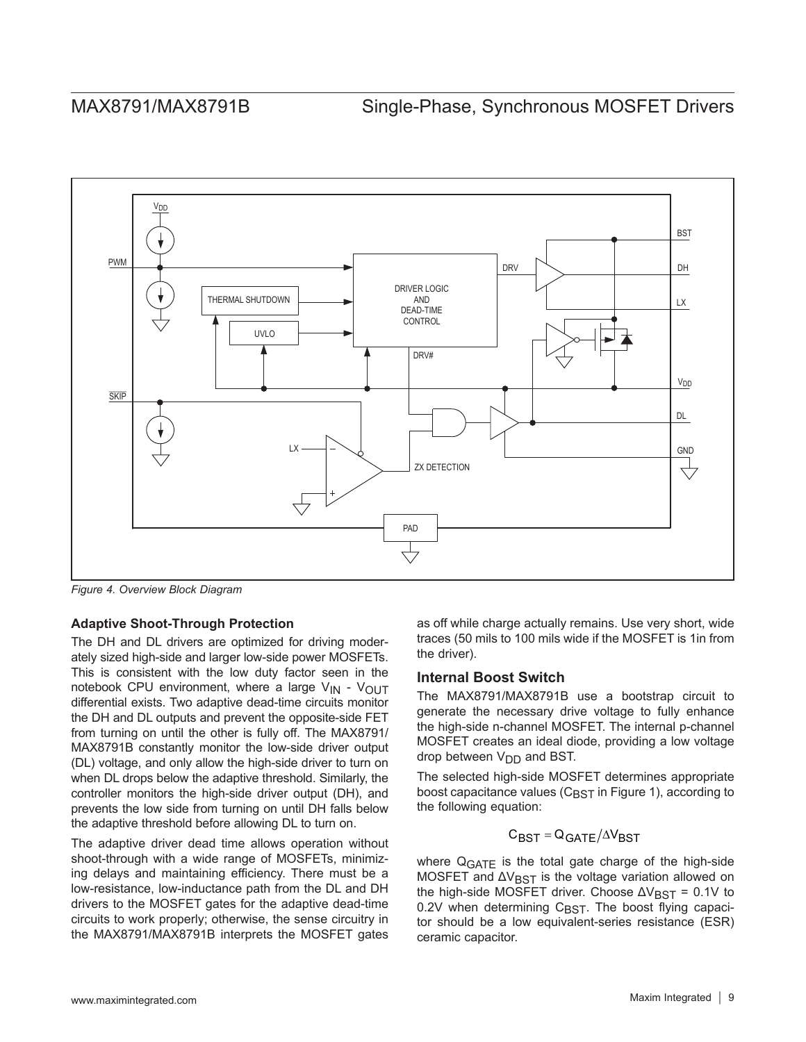

*Figure 4. Overview Block Diagram*

### **Adaptive Shoot-Through Protection**

The DH and DL drivers are optimized for driving moderately sized high-side and larger low-side power MOSFETs. This is consistent with the low duty factor seen in the notebook CPU environment, where a large  $V_{IN}$  -  $V_{OUT}$ differential exists. Two adaptive dead-time circuits monitor the DH and DL outputs and prevent the opposite-side FET from turning on until the other is fully off. The MAX8791/ MAX8791B constantly monitor the low-side driver output (DL) voltage, and only allow the high-side driver to turn on when DL drops below the adaptive threshold. Similarly, the controller monitors the high-side driver output (DH), and prevents the low side from turning on until DH falls below the adaptive threshold before allowing DL to turn on.

The adaptive driver dead time allows operation without shoot-through with a wide range of MOSFETs, minimizing delays and maintaining efficiency. There must be a low-resistance, low-inductance path from the DL and DH drivers to the MOSFET gates for the adaptive dead-time circuits to work properly; otherwise, the sense circuitry in the MAX8791/MAX8791B interprets the MOSFET gates

as off while charge actually remains. Use very short, wide traces (50 mils to 100 mils wide if the MOSFET is 1in from the driver).

### **Internal Boost Switch**

The MAX8791/MAX8791B use a bootstrap circuit to generate the necessary drive voltage to fully enhance the high-side n-channel MOSFET. The internal p-channel MOSFET creates an ideal diode, providing a low voltage drop between  $V_{\text{DD}}$  and BST.

The selected high-side MOSFET determines appropriate boost capacitance values ( $C_{\text{BST}}$  in Figure 1), according to the following equation:

## $C_{\text{BST}} = Q_{\text{GATE}} / \Delta V_{\text{RST}}$

where Q<sub>GATE</sub> is the total gate charge of the high-side MOSFET and  $\Delta V_{\text{BST}}$  is the voltage variation allowed on the high-side MOSFET driver. Choose  $\Delta V_{\text{BST}} = 0.1V$  to  $0.2V$  when determining  $C_{\text{BST}}$ . The boost flying capacitor should be a low equivalent-series resistance (ESR) ceramic capacitor.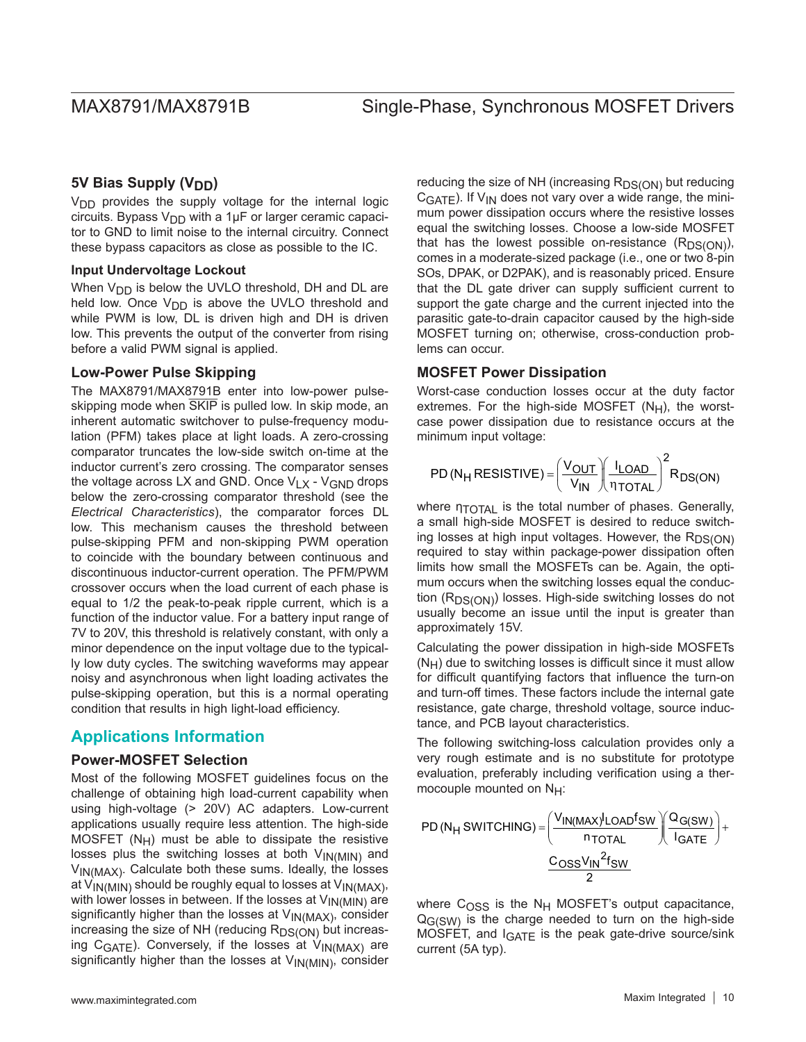### **5V Bias Supply (V<sub>DD</sub>)**

V<sub>DD</sub> provides the supply voltage for the internal logic circuits. Bypass  $V_{DD}$  with a 1µF or larger ceramic capacitor to GND to limit noise to the internal circuitry. Connect these bypass capacitors as close as possible to the IC.

#### **Input Undervoltage Lockout**

When  $V_{DD}$  is below the UVLO threshold, DH and DL are held low. Once  $V_{DD}$  is above the UVLO threshold and while PWM is low, DL is driven high and DH is driven low. This prevents the output of the converter from rising before a valid PWM signal is applied.

### **Low-Power Pulse Skipping**

The MAX8791/MAX8791B enter into low-power pulseskipping mode when SKIP is pulled low. In skip mode, an inherent automatic switchover to pulse-frequency modulation (PFM) takes place at light loads. A zero-crossing comparator truncates the low-side switch on-time at the inductor current's zero crossing. The comparator senses the voltage across LX and GND. Once  $V_{1}x - V_{GND}$  drops below the zero-crossing comparator threshold (see the *Electrical Characteristics*), the comparator forces DL low. This mechanism causes the threshold between pulse-skipping PFM and non-skipping PWM operation to coincide with the boundary between continuous and discontinuous inductor-current operation. The PFM/PWM crossover occurs when the load current of each phase is equal to 1/2 the peak-to-peak ripple current, which is a function of the inductor value. For a battery input range of 7V to 20V, this threshold is relatively constant, with only a minor dependence on the input voltage due to the typically low duty cycles. The switching waveforms may appear noisy and asynchronous when light loading activates the pulse-skipping operation, but this is a normal operating condition that results in high light-load efficiency.

### **Applications Information**

### **Power-MOSFET Selection**

Most of the following MOSFET guidelines focus on the challenge of obtaining high load-current capability when using high-voltage (> 20V) AC adapters. Low-current applications usually require less attention. The high-side MOSFET  $(N_H)$  must be able to dissipate the resistive losses plus the switching losses at both  $V_{IN(MIN)}$  and VIN(MAX). Calculate both these sums. Ideally, the losses at  $V_{IN(MIN)}$  should be roughly equal to losses at  $V_{IN(MAX)}$ , with lower losses in between. If the losses at  $V_{IN(MIN)}$  are significantly higher than the losses at  $V_{IN(MAX)}$ , consider increasing the size of NH (reducing  $R_{DS(ON)}$  but increasing C<sub>GATE</sub>). Conversely, if the losses at  $V_{IN(MAX)}$  are significantly higher than the losses at  $V_{IN(MIN)}$ , consider reducing the size of NH (increasing  $R_{DS(ON)}$  but reducing  $C<sub>GATF</sub>$ ). If  $V<sub>IN</sub>$  does not vary over a wide range, the minimum power dissipation occurs where the resistive losses equal the switching losses. Choose a low-side MOSFET that has the lowest possible on-resistance  $(R_{DS(ON)}),$ comes in a moderate-sized package (i.e., one or two 8-pin SOs, DPAK, or D2PAK), and is reasonably priced. Ensure that the DL gate driver can supply sufficient current to support the gate charge and the current injected into the parasitic gate-to-drain capacitor caused by the high-side MOSFET turning on; otherwise, cross-conduction problems can occur.

### **MOSFET Power Dissipation**

Worst-case conduction losses occur at the duty factor extremes. For the high-side MOSFET  $(N_H)$ , the worstcase power dissipation due to resistance occurs at the minimum input voltage:

$$
PD\left(N_H \: \text{RESISTIVE}\right) = \left(\frac{V_{OUT}}{V_{IN}}\right)\left(\frac{I_{LOAD}}{\eta_{TOTAL}}\right)^2 R_{DS(ON)}
$$

where ητοτ<sub>AL</sub> is the total number of phases. Generally, a small high-side MOSFET is desired to reduce switching losses at high input voltages. However, the  $R_{DS(ON)}$ required to stay within package-power dissipation often limits how small the MOSFETs can be. Again, the optimum occurs when the switching losses equal the conduction  $(R_{DS(ON)})$  losses. High-side switching losses do not usually become an issue until the input is greater than approximately 15V.

Calculating the power dissipation in high-side MOSFETs  $(N_H)$  due to switching losses is difficult since it must allow for difficult quantifying factors that influence the turn-on and turn-off times. These factors include the internal gate resistance, gate charge, threshold voltage, source inductance, and PCB layout characteristics.

The following switching-loss calculation provides only a very rough estimate and is no substitute for prototype evaluation, preferably including verification using a thermocouple mounted on NH:

$$
PD(N_{H} \text{ SWITCHING}) = \left(\frac{V_{IN(MAX)}LOADfsw}{n_{TOTAL}}\right)\left(\frac{Q_{G(SW)}}{I_{GATE}}\right) + \frac{C_{OSS}V_{IN}^{2}f_{SW}}{2}
$$

where  $C<sub>OSS</sub>$  is the N<sub>H</sub> MOSFET's output capacitance,  $Q<sub>G(SW)</sub>$  is the charge needed to turn on the high-side MOSFET, and  $I<sub>GATE</sub>$  is the peak gate-drive source/sink current (5A typ).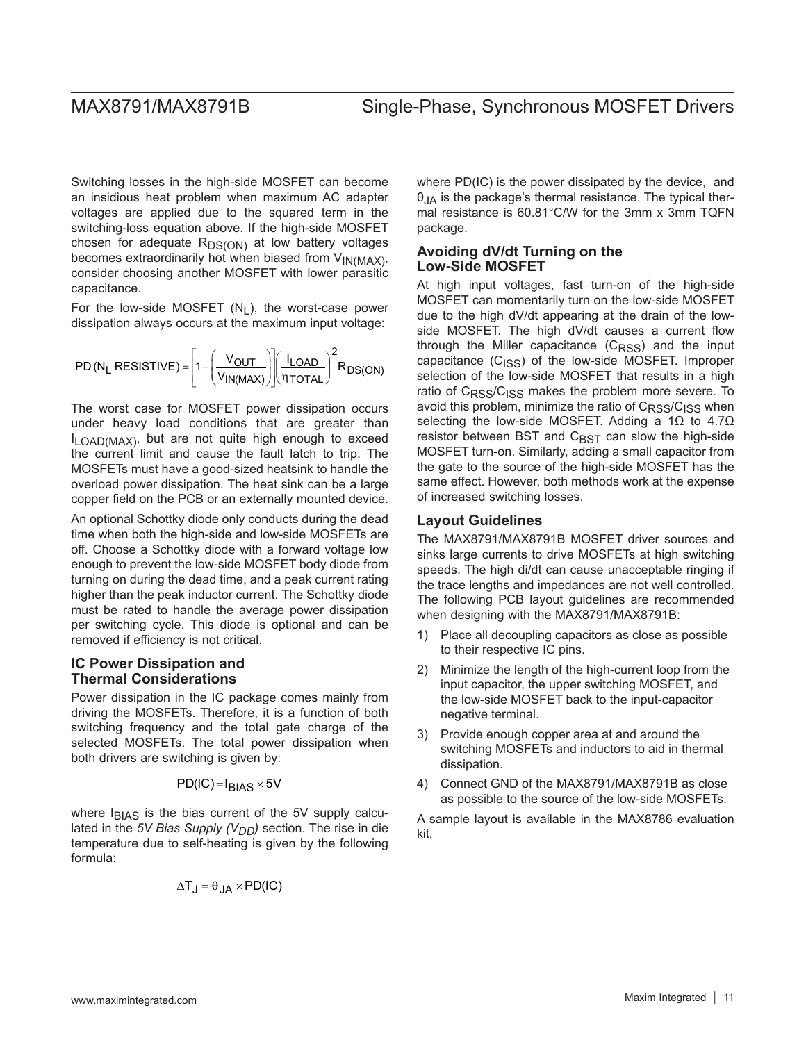Switching losses in the high-side MOSFET can become an insidious heat problem when maximum AC adapter voltages are applied due to the squared term in the switching-loss equation above. If the high-side MOSFET chosen for adequate  $R_{DS(ON)}$  at low battery voltages becomes extraordinarily hot when biased from VIN(MAX), consider choosing another MOSFET with lower parasitic capacitance.

For the low-side MOSFET  $(N_1)$ , the worst-case power dissipation always occurs at the maximum input voltage:

$$
PD(N_L \; RESISTIVE) = \left[1 - \left(\frac{V_{OUT}}{V_{IN(MAX)}}\right)\right] \left(\frac{I_{LOAD}}{\eta_{TOTAL}}\right)^2 R_{DS(ON)}
$$

The worst case for MOSFET power dissipation occurs under heavy load conditions that are greater than ILOAD(MAX), but are not quite high enough to exceed the current limit and cause the fault latch to trip. The MOSFETs must have a good-sized heatsink to handle the overload power dissipation. The heat sink can be a large copper field on the PCB or an externally mounted device.

An optional Schottky diode only conducts during the dead time when both the high-side and low-side MOSFETs are off. Choose a Schottky diode with a forward voltage low enough to prevent the low-side MOSFET body diode from turning on during the dead time, and a peak current rating higher than the peak inductor current. The Schottky diode must be rated to handle the average power dissipation per switching cycle. This diode is optional and can be removed if efficiency is not critical.

#### **IC Power Dissipation and Thermal Considerations**

Power dissipation in the IC package comes mainly from driving the MOSFETs. Therefore, it is a function of both switching frequency and the total gate charge of the selected MOSFETs. The total power dissipation when both drivers are switching is given by:

$$
PD({\sf IC})\!=\!{\sf I}_{BIAS}\times 5{\sf V}
$$

where  $I<sub>BIAS</sub>$  is the bias current of the 5V supply calculated in the *5V Bias Supply (VDD)* section. The rise in die temperature due to self-heating is given by the following formula:

$$
\Delta T_J = \theta_{JA} \times PD(IC)
$$

where PD(IC) is the power dissipated by the device, and  $\theta_{\text{IA}}$  is the package's thermal resistance. The typical thermal resistance is 60.81°C/W for the 3mm x 3mm TQFN package.

### **Avoiding dV/dt Turning on the Low-Side MOSFET**

At high input voltages, fast turn-on of the high-side MOSFET can momentarily turn on the low-side MOSFET due to the high dV/dt appearing at the drain of the lowside MOSFET. The high dV/dt causes a current flow through the Miller capacitance (C<sub>RSS</sub>) and the input capacitance  $(C<sub>ISS</sub>)$  of the low-side MOSFET. Improper selection of the low-side MOSFET that results in a high ratio of C<sub>RSS</sub>/C<sub>ISS</sub> makes the problem more severe. To avoid this problem, minimize the ratio of  $C_{RSS}/C_{ISS}$  when selecting the low-side MOSFET. Adding a 1Ω to 4.7Ω resistor between BST and  $C_{\text{RST}}$  can slow the high-side MOSFET turn-on. Similarly, adding a small capacitor from the gate to the source of the high-side MOSFET has the same effect. However, both methods work at the expense of increased switching losses.

#### **Layout Guidelines**

The MAX8791/MAX8791B MOSFET driver sources and sinks large currents to drive MOSFETs at high switching speeds. The high di/dt can cause unacceptable ringing if the trace lengths and impedances are not well controlled. The following PCB layout guidelines are recommended when designing with the MAX8791/MAX8791B:

- 1) Place all decoupling capacitors as close as possible to their respective IC pins.
- 2) Minimize the length of the high-current loop from the input capacitor, the upper switching MOSFET, and the low-side MOSFET back to the input-capacitor negative terminal.
- 3) Provide enough copper area at and around the switching MOSFETs and inductors to aid in thermal dissipation.
- 4) Connect GND of the MAX8791/MAX8791B as close as possible to the source of the low-side MOSFETs.

A sample layout is available in the MAX8786 evaluation kit.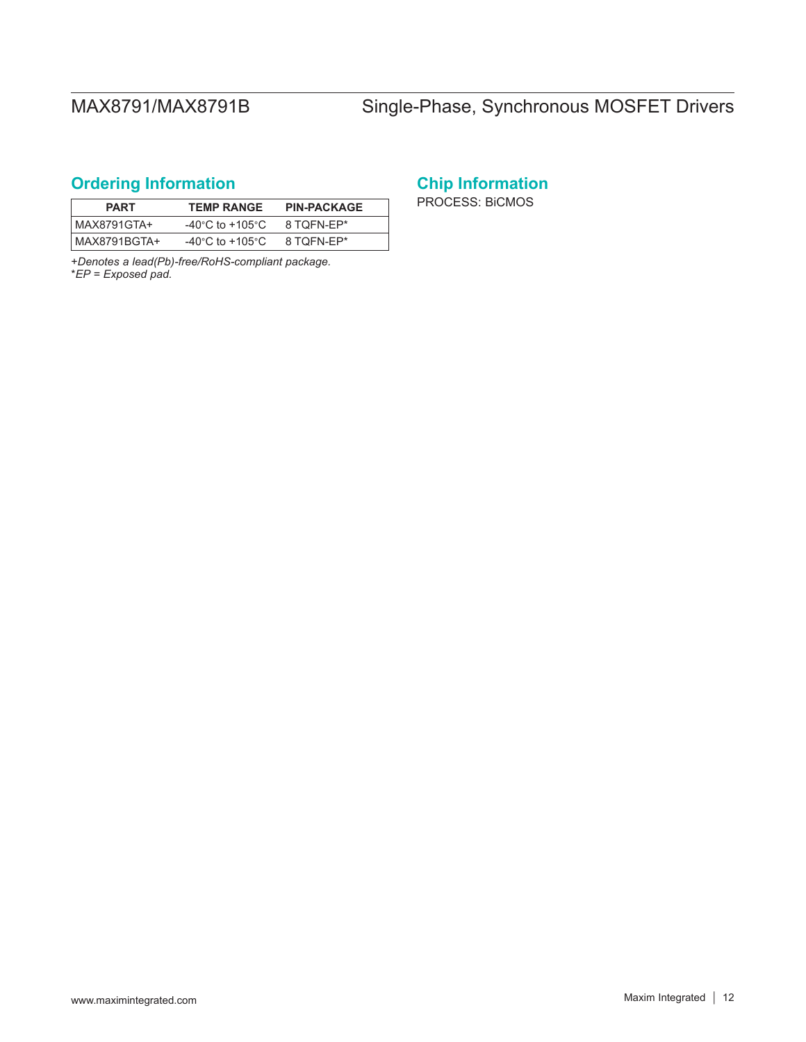# <span id="page-11-0"></span>**Ordering Information**

| <b>PART</b>  | <b>TEMP RANGE</b>                     | <b>PIN-PACKAGE</b> |
|--------------|---------------------------------------|--------------------|
| MAX8791GTA+  | -40 $^{\circ}$ C to +105 $^{\circ}$ C | 8 TOFN-EP*         |
| MAX8791BGTA+ | -40 $^{\circ}$ C to +105 $^{\circ}$ C | 8 TOFN-EP*         |

+*Denotes a lead(Pb)-free/RoHS-compliant package.* \**EP = Exposed pad.*

# **Chip Information**

PROCESS: BiCMOS